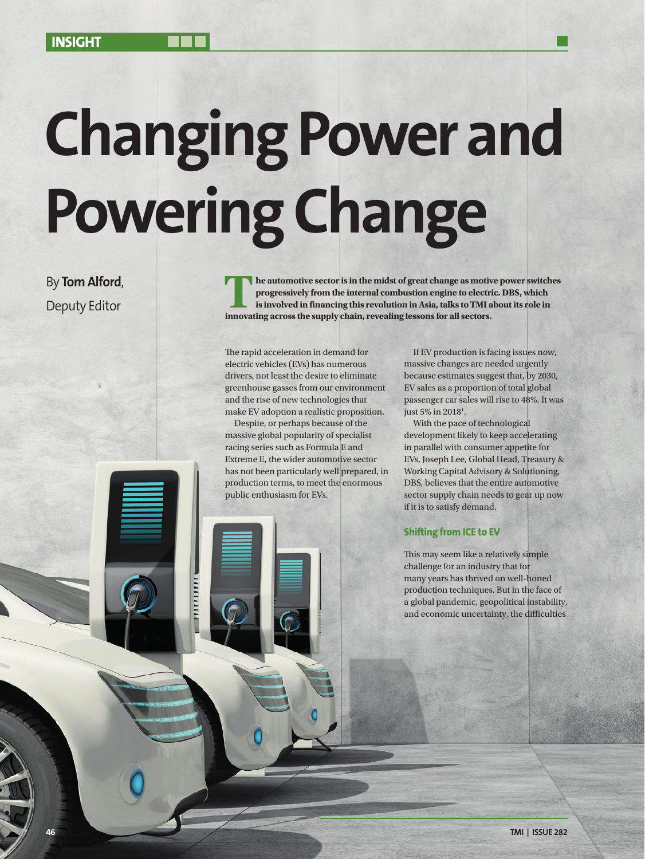# **Changing Power and Powering Change**

By **Tom Alford**,

By **Tom Alford**,<br>
Deputy Editor **The automotive sector is in the midst of great change as motive power switches<br>
is involved in financing this revolution in Asia, talks to TMI about its role in progressively from the internal combustion engine to electric. DBS, which is involved in financing this revolution in Asia, talks to TMI about its role in innovating across the supply chain, revealing lessons for all sectors.** 

> The rapid acceleration in demand for electric vehicles (EVs) has numerous drivers, not least the desire to eliminate greenhouse gasses from our environment and the rise of new technologies that make EV adoption a realistic proposition.

Despite, or perhaps because of the massive global popularity of specialist racing series such as Formula E and Extreme E, the wider automotive sector has not been particularly well prepared, in production terms, to meet the enormous public enthusiasm for EVs.

111111111

If EV production is facing issues now, massive changes are needed urgently because estimates suggest that, by 2030, EV sales as a proportion of total global passenger car sales will rise to 48%. It was just 5% in 2018<sup>1</sup>.

With the pace of technological development likely to keep accelerating in parallel with consumer appetite for EVs, Joseph Lee, Global Head, Treasury & Working Capital Advisory & Solutioning, DBS, believes that the entire automotive sector supply chain needs to gear up now if it is to satisfy demand.

## **Shifting from ICE to EV**

This may seem like a relatively simple challenge for an industry that for many years has thrived on well-honed production techniques. But in the face of a global pandemic, geopolitical instability, and economic uncertainty, the difficulties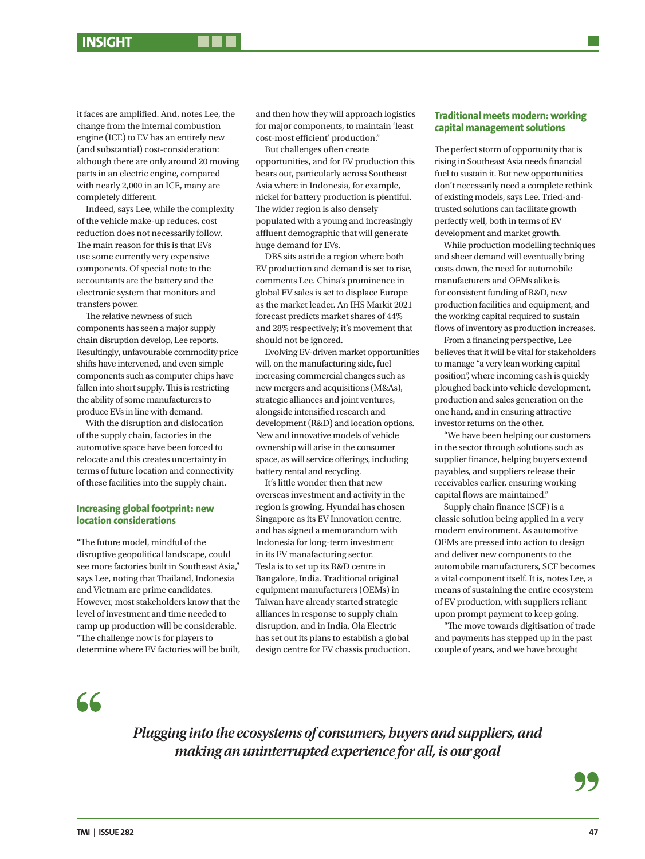it faces are amplified. And, notes Lee, the change from the internal combustion engine (ICE) to EV has an entirely new (and substantial) cost-consideration: although there are only around 20 moving parts in an electric engine, compared with nearly 2,000 in an ICE, many are completely different.

Indeed, says Lee, while the complexity of the vehicle make-up reduces, cost reduction does not necessarily follow. The main reason for this is that EVs use some currently very expensive components. Of special note to the accountants are the battery and the electronic system that monitors and transfers power.

The relative newness of such components has seen a major supply chain disruption develop, Lee reports. Resultingly, unfavourable commodity price shifts have intervened, and even simple components such as computer chips have fallen into short supply. This is restricting the ability of some manufacturers to produce EVs in line with demand.

With the disruption and dislocation of the supply chain, factories in the automotive space have been forced to relocate and this creates uncertainty in terms of future location and connectivity of these facilities into the supply chain.

### **Increasing global footprint: new location considerations**

"The future model, mindful of the disruptive geopolitical landscape, could see more factories built in Southeast Asia," says Lee, noting that Thailand, Indonesia and Vietnam are prime candidates. However, most stakeholders know that the level of investment and time needed to ramp up production will be considerable. "The challenge now is for players to determine where EV factories will be built, and then how they will approach logistics for major components, to maintain 'least cost-most efficient' production."

But challenges often create opportunities, and for EV production this bears out, particularly across Southeast Asia where in Indonesia, for example, nickel for battery production is plentiful. The wider region is also densely populated with a young and increasingly affluent demographic that will generate huge demand for EVs.

DBS sits astride a region where both EV production and demand is set to rise, comments Lee. China's prominence in global EV sales is set to displace Europe as the market leader. An IHS Markit 2021 forecast predicts market shares of 44% and 28% respectively; it's movement that should not be ignored.

Evolving EV-driven market opportunities will, on the manufacturing side, fuel increasing commercial changes such as new mergers and acquisitions (M&As), strategic alliances and joint ventures, alongside intensified research and development (R&D) and location options. New and innovative models of vehicle ownership will arise in the consumer space, as will service offerings, including battery rental and recycling.

It's little wonder then that new overseas investment and activity in the region is growing. Hyundai has chosen Singapore as its EV Innovation centre, and has signed a memorandum with Indonesia for long-term investment in its EV manafacturing sector. Tesla is to set up its R&D centre in Bangalore, India. Traditional original equipment manufacturers (OEMs) in Taiwan have already started strategic alliances in response to supply chain disruption, and in India, Ola Electric has set out its plans to establish a global design centre for EV chassis production.

### **Traditional meets modern: working capital management solutions**

The perfect storm of opportunity that is rising in Southeast Asia needs financial fuel to sustain it. But new opportunities don't necessarily need a complete rethink of existing models, says Lee. Tried-andtrusted solutions can facilitate growth perfectly well, both in terms of EV development and market growth.

While production modelling techniques and sheer demand will eventually bring costs down, the need for automobile manufacturers and OEMs alike is for consistent funding of R&D, new production facilities and equipment, and the working capital required to sustain flows of inventory as production increases.

From a financing perspective, Lee believes that it will be vital for stakeholders to manage "a very lean working capital position", where incoming cash is quickly ploughed back into vehicle development, production and sales generation on the one hand, and in ensuring attractive investor returns on the other.

"We have been helping our customers in the sector through solutions such as supplier finance, helping buyers extend payables, and suppliers release their receivables earlier, ensuring working capital flows are maintained."

Supply chain finance (SCF) is a classic solution being applied in a very modern environment. As automotive OEMs are pressed into action to design and deliver new components to the automobile manufacturers, SCF becomes a vital component itself. It is, notes Lee, a means of sustaining the entire ecosystem of EV production, with suppliers reliant upon prompt payment to keep going.

"The move towards digitisation of trade and payments has stepped up in the past couple of years, and we have brought

 $66$ 

*Plugging into the ecosystems of consumers, buyers and suppliers, and making an uninterrupted experience for all, is our goal*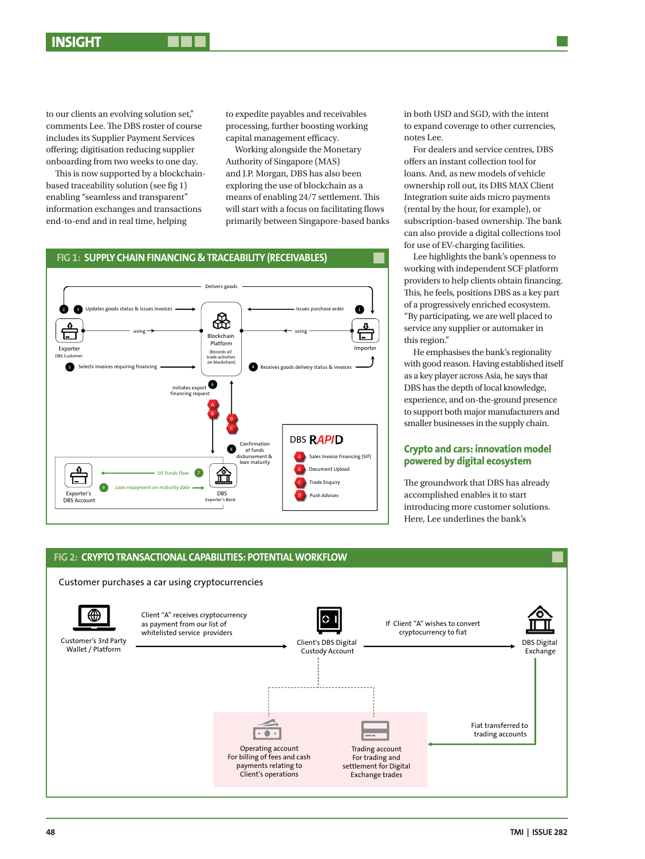to our clients an evolving solution set," comments Lee. The DBS roster of course includes its Supplier Payment Services offering; digitisation reducing supplier onboarding from two weeks to one day.

This is now supported by a blockchainbased traceability solution (see fig 1) enabling "seamless and transparent" information exchanges and transactions end-to-end and in real time, helping

to expedite payables and receivables processing, further boosting working capital management efficacy.

Working alongside the Monetary Authority of Singapore (MAS) and J.P. Morgan, DBS has also been exploring the use of blockchain as a means of enabling 24/7 settlement. This will start with a focus on facilitating flows end-to-end and in real time, helping primarily between Singapore-based banks subscription



in both USD and SGD, with the intent to expand coverage to other currencies, notes Lee.

For dealers and service centres, DBS offers an instant collection tool for loans. And, as new models of vehicle ownership roll out, its DBS MAX Client Integration suite aids micro payments (rental by the hour, for example), or subscription-based ownership. The bank can also provide a digital collections tool for use of EV-charging facilities.

Lee highlights the bank's openness to working with independent SCF platform providers to help clients obtain financing. This, he feels, positions DBS as a key part of a progressively enriched ecosystem. "By participating, we are well placed to service any supplier or automaker in this region."

He emphasises the bank's regionality with good reason. Having established itself as a key player across Asia, he says that DBS has the depth of local knowledge, experience, and on-the-ground presence to support both major manufacturers and smaller businesses in the supply chain.

### **Crypto and cars: innovation model powered by digital ecosystem**

The groundwork that DBS has already accomplished enables it to start introducing more customer solutions. Here, Lee underlines the bank's



# **FIG 1: SUPPLY CHAIN FINANCING & TRACEABILITY (RECEIVABLES)**